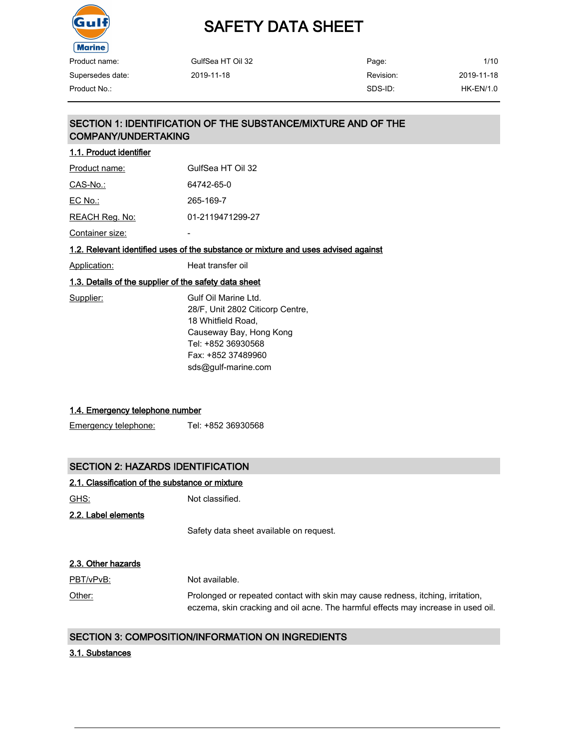

| Product name:    | GulfSea HT Oil 32 | Page:     | 1/1C             |
|------------------|-------------------|-----------|------------------|
| Supersedes date: | 2019-11-18        | Revision: | 2019-11-18       |
| Product No.:     |                   | SDS-ID:   | <b>HK-EN/1.0</b> |

| Page:     |
|-----------|
| Revision: |
| SDS-ID:   |

1/10 2019-11-18

## SECTION 1: IDENTIFICATION OF THE SUBSTANCE/MIXTURE AND OF THE COMPANY/UNDERTAKING

| 1.1. Product identifier |                   |
|-------------------------|-------------------|
| Product name:           | GulfSea HT Oil 32 |
| CAS-No.:                | 64742-65-0        |
| EC No.:                 | 265-169-7         |
| REACH Reg. No:          | 01-2119471299-27  |
| Container size:         |                   |

#### 1.2. Relevant identified uses of the substance or mixture and uses advised against

| Application: | Heat transfer oil |  |
|--------------|-------------------|--|
|              |                   |  |

#### 1.3. Details of the supplier of the safety data sheet

| Supplier: | Gulf Oil Marine Ltd.             |
|-----------|----------------------------------|
|           | 28/F, Unit 2802 Citicorp Centre, |
|           | 18 Whitfield Road,               |
|           | Causeway Bay, Hong Kong          |
|           | Tel: +852 36930568               |
|           | Fax: +852 37489960               |
|           | sds@gulf-marine.com              |
|           |                                  |

## 1.4. Emergency telephone number

Emergency telephone: Tel: +852 36930568

## SECTION 2: HAZARDS IDENTIFICATION

### 2.1. Classification of the substance or mixture

GHS: Not classified.

2.2. Label elements

Safety data sheet available on request.

| 2.3. Other hazards |                                                                                                                                                                      |
|--------------------|----------------------------------------------------------------------------------------------------------------------------------------------------------------------|
| PBT/vPvB:          | Not available.                                                                                                                                                       |
| Other:             | Prolonged or repeated contact with skin may cause redness, itching, irritation,<br>eczema, skin cracking and oil acne. The harmful effects may increase in used oil. |

#### SECTION 3: COMPOSITION/INFORMATION ON INGREDIENTS

#### 3.1. Substances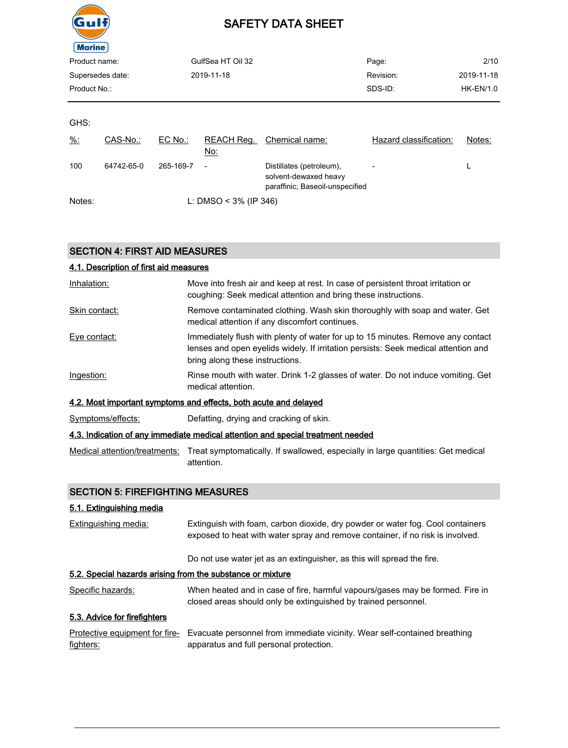

| $\cdots$         |            |           |                          |                                                                                      |                        |                  |
|------------------|------------|-----------|--------------------------|--------------------------------------------------------------------------------------|------------------------|------------------|
| Product name:    |            |           | GulfSea HT Oil 32        |                                                                                      | Page:                  | 2/10             |
| Supersedes date: |            |           | 2019-11-18               |                                                                                      | Revision:              | 2019-11-18       |
| Product No.:     |            |           |                          |                                                                                      | SDS-ID:                | <b>HK-EN/1.0</b> |
|                  |            |           |                          |                                                                                      |                        |                  |
| GHS:             |            |           |                          |                                                                                      |                        |                  |
| $\frac{9}{6}$ :  | CAS-No.:   | EC No.:   | REACH Reg.<br><u>No:</u> | Chemical name:                                                                       | Hazard classification: | Notes:           |
| 100              | 64742-65-0 | 265-169-7 | $\overline{\phantom{a}}$ | Distillates (petroleum),<br>solvent-dewaxed heavy<br>paraffinic; Baseoil-unspecified | $\overline{a}$         | L                |

Notes: L: DMSO < 3% (IP 346)

SECTION 4: FIRST AID MEASURES

| 4.1. Description of first aid measures |                                                                                                                                                                                                          |
|----------------------------------------|----------------------------------------------------------------------------------------------------------------------------------------------------------------------------------------------------------|
| Inhalation:                            | Move into fresh air and keep at rest. In case of persistent throat irritation or<br>coughing: Seek medical attention and bring these instructions.                                                       |
| Skin contact:                          | Remove contaminated clothing. Wash skin thoroughly with soap and water. Get<br>medical attention if any discomfort continues.                                                                            |
| Eye contact:                           | Immediately flush with plenty of water for up to 15 minutes. Remove any contact<br>lenses and open evelids widely. If irritation persists: Seek medical attention and<br>bring along these instructions. |
| Ingestion:                             | Rinse mouth with water. Drink 1-2 glasses of water. Do not induce vomiting. Get<br>medical attention.                                                                                                    |
|                                        | 4.2. Most important symptoms and effects, both acute and delayed                                                                                                                                         |
| Symptoms/effects:                      | Defatting, drying and cracking of skin.                                                                                                                                                                  |
|                                        | 4.3. Indication of any immediate medical attention and special treatment needed                                                                                                                          |
|                                        |                                                                                                                                                                                                          |

Medical attention/treatments: Treat symptomatically. If swallowed, especially in large quantities: Get medical attention.

## SECTION 5: FIREFIGHTING MEASURES

#### 5.1. Extinguishing media

| Extinguishing media:                                       | Extinguish with foam, carbon dioxide, dry powder or water fog. Cool containers<br>exposed to heat with water spray and remove container, if no risk is involved. |
|------------------------------------------------------------|------------------------------------------------------------------------------------------------------------------------------------------------------------------|
|                                                            | Do not use water jet as an extinguisher, as this will spread the fire.                                                                                           |
| 5.2. Special hazards arising from the substance or mixture |                                                                                                                                                                  |
| Specific hazards:                                          | When heated and in case of fire, harmful vapours/gases may be formed. Fire in<br>closed areas should only be extinguished by trained personnel.                  |
| 5.3. Advice for firefighters                               |                                                                                                                                                                  |
| Protective equipment for fire-<br>fighters:                | Evacuate personnel from immediate vicinity. Wear self-contained breathing<br>apparatus and full personal protection.                                             |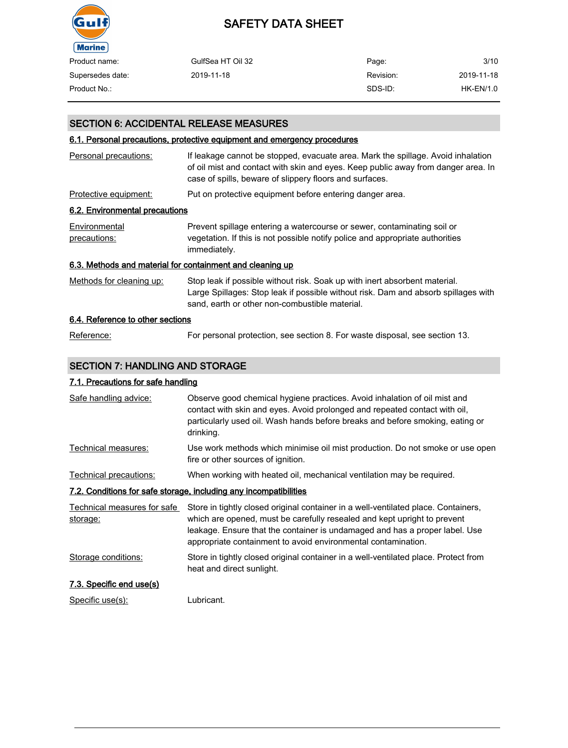

| Product name:    | GulfSea HT Oil 32 | Page:     | 3/10        |
|------------------|-------------------|-----------|-------------|
| Supersedes date: | 2019-11-18        | Revision: | 2019-11-18  |
| Product No.:     |                   | SDS-ID:   | $HK-EN/1.0$ |

## SECTION 6: ACCIDENTAL RELEASE MEASURES

## 6.1. Personal precautions, protective equipment and emergency procedures

| Personal precautions:                                     | If leakage cannot be stopped, evacuate area. Mark the spillage. Avoid inhalation<br>of oil mist and contact with skin and eyes. Keep public away from danger area. In<br>case of spills, beware of slippery floors and surfaces. |
|-----------------------------------------------------------|----------------------------------------------------------------------------------------------------------------------------------------------------------------------------------------------------------------------------------|
| Protective equipment:                                     | Put on protective equipment before entering danger area.                                                                                                                                                                         |
| 6.2. Environmental precautions                            |                                                                                                                                                                                                                                  |
| Environmental<br>precautions:                             | Prevent spillage entering a watercourse or sewer, contaminating soil or<br>vegetation. If this is not possible notify police and appropriate authorities<br>immediately.                                                         |
| 6.3. Methods and material for containment and cleaning up |                                                                                                                                                                                                                                  |
| Methods for cleaning up:                                  | Stop leak if possible without risk. Soak up with inert absorbent material.<br>Large Spillages: Stop leak if possible without risk. Dam and absorb spillages with<br>sand, earth or other non-combustible material.               |
| 6.4. Reference to other sections                          |                                                                                                                                                                                                                                  |
| Reference:                                                | For personal protection, see section 8. For waste disposal, see section 13.                                                                                                                                                      |

## SECTION 7: HANDLING AND STORAGE

### 7.1. Precautions for safe handling

| Safe handling advice:                   | Observe good chemical hygiene practices. Avoid inhalation of oil mist and<br>contact with skin and eyes. Avoid prolonged and repeated contact with oil,<br>particularly used oil. Wash hands before breaks and before smoking, eating or<br>drinking.                                                          |
|-----------------------------------------|----------------------------------------------------------------------------------------------------------------------------------------------------------------------------------------------------------------------------------------------------------------------------------------------------------------|
| Technical measures:                     | Use work methods which minimise oil mist production. Do not smoke or use open<br>fire or other sources of ignition.                                                                                                                                                                                            |
| Technical precautions:                  | When working with heated oil, mechanical ventilation may be required.                                                                                                                                                                                                                                          |
|                                         | 7.2. Conditions for safe storage, including any incompatibilities                                                                                                                                                                                                                                              |
| Technical measures for safe<br>storage: | Store in tightly closed original container in a well-ventilated place. Containers,<br>which are opened, must be carefully resealed and kept upright to prevent<br>leakage. Ensure that the container is undamaged and has a proper label. Use<br>appropriate containment to avoid environmental contamination. |
| Storage conditions:                     | Store in tightly closed original container in a well-ventilated place. Protect from<br>heat and direct sunlight.                                                                                                                                                                                               |
| 7.3. Specific end use(s)                |                                                                                                                                                                                                                                                                                                                |
| Specific use(s):                        | Lubricant.                                                                                                                                                                                                                                                                                                     |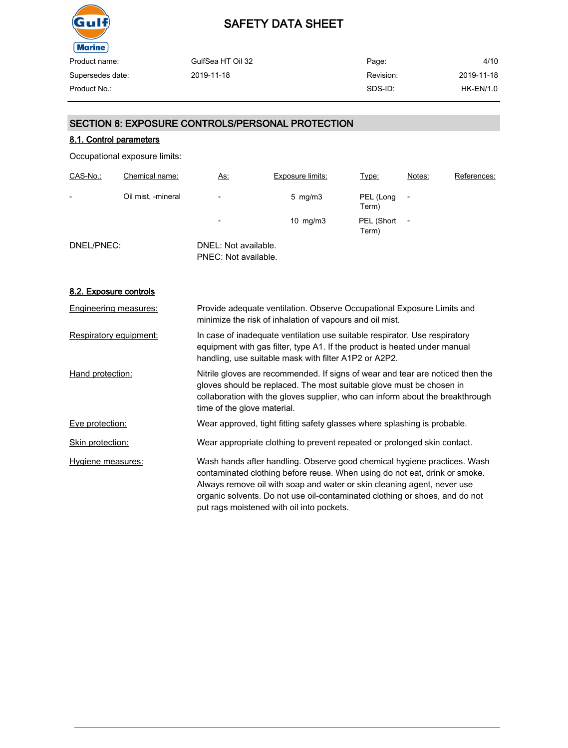

| GulfSea HT Oil 32 | Page:     | 4/10       |
|-------------------|-----------|------------|
| 2019-11-18        | Revision: | 2019-11-18 |
|                   | SDS-ID:   | HK-EN/1.0  |
|                   |           |            |

## SECTION 8: EXPOSURE CONTROLS/PERSONAL PROTECTION

## 8.1. Control parameters

Occupational exposure limits:

| CAS-No.:                 | Chemical name:     | <u>As:</u>                                   | <b>Exposure limits:</b> | Type:               | Notes:                   | References: |
|--------------------------|--------------------|----------------------------------------------|-------------------------|---------------------|--------------------------|-------------|
| $\overline{\phantom{0}}$ | Oil mist, -mineral | $\overline{\phantom{a}}$                     | $5$ mg/m $3$            | PEL (Long<br>Term)  |                          |             |
|                          |                    | $\overline{\phantom{a}}$                     | 10 $mg/m3$              | PEL (Short<br>Term) | $\overline{\phantom{a}}$ |             |
| DNEL/PNEC:               |                    | DNEL: Not available.<br>PNEC: Not available. |                         |                     |                          |             |

#### 8.2. Exposure controls

| Engineering measures:  | Provide adequate ventilation. Observe Occupational Exposure Limits and<br>minimize the risk of inhalation of vapours and oil mist.                                                                                                                                                                                                                            |
|------------------------|---------------------------------------------------------------------------------------------------------------------------------------------------------------------------------------------------------------------------------------------------------------------------------------------------------------------------------------------------------------|
| Respiratory equipment: | In case of inadequate ventilation use suitable respirator. Use respiratory<br>equipment with gas filter, type A1. If the product is heated under manual<br>handling, use suitable mask with filter A1P2 or A2P2.                                                                                                                                              |
| Hand protection:       | Nitrile gloves are recommended. If signs of wear and tear are noticed then the<br>gloves should be replaced. The most suitable glove must be chosen in<br>collaboration with the gloves supplier, who can inform about the breakthrough<br>time of the glove material.                                                                                        |
| Eye protection:        | Wear approved, tight fitting safety glasses where splashing is probable.                                                                                                                                                                                                                                                                                      |
| Skin protection:       | Wear appropriate clothing to prevent repeated or prolonged skin contact.                                                                                                                                                                                                                                                                                      |
| Hygiene measures:      | Wash hands after handling. Observe good chemical hygiene practices. Wash<br>contaminated clothing before reuse. When using do not eat, drink or smoke.<br>Always remove oil with soap and water or skin cleaning agent, never use<br>organic solvents. Do not use oil-contaminated clothing or shoes, and do not<br>put rags moistened with oil into pockets. |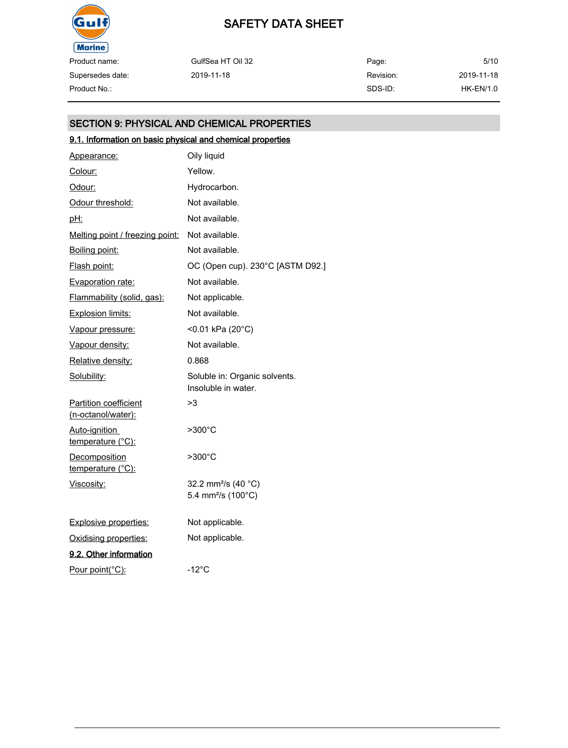

Supersedes date:

## SAFETY DATA SHEET

GulfSea HT Oil 32 2019-11-18 Page: Revision: SDS-ID: 5/10 2019-11-18 Product No.: HK-EN/1.0

## SECTION 9: PHYSICAL AND CHEMICAL PROPERTIES

## 9.1. Information on basic physical and chemical properties

| Appearance:                                 | Oily liquid                                                       |
|---------------------------------------------|-------------------------------------------------------------------|
| Colour:                                     | Yellow.                                                           |
| Odour:                                      | Hydrocarbon.                                                      |
| Odour threshold:                            | Not available.                                                    |
| <u>pH:</u>                                  | Not available.                                                    |
| Melting point / freezing point:             | Not available.                                                    |
| Boiling point:                              | Not available.                                                    |
| Flash point:                                | OC (Open cup). 230°C [ASTM D92.]                                  |
| <b>Evaporation rate:</b>                    | Not available.                                                    |
| Flammability (solid, gas):                  | Not applicable.                                                   |
| <b>Explosion limits:</b>                    | Not available.                                                    |
| Vapour pressure:                            | <0.01 kPa (20°C)                                                  |
| Vapour density:                             | Not available.                                                    |
| Relative density:                           | 0.868                                                             |
| Solubility:                                 | Soluble in: Organic solvents.<br>Insoluble in water.              |
| Partition coefficient<br>(n-octanol/water): | >3                                                                |
| Auto-ignition<br>temperature (°C):          | $>300^{\circ}$ C                                                  |
| Decomposition<br>temperature (°C):          | >300°C                                                            |
| Viscosity:                                  | 32.2 mm <sup>2</sup> /s (40 °C)<br>5.4 mm <sup>2</sup> /s (100°C) |
| <b>Explosive properties:</b>                | Not applicable.                                                   |
| Oxidising properties:                       | Not applicable.                                                   |
| 9.2. Other information                      |                                                                   |
| Pour point(°C):                             | $-12^{\circ}$ C                                                   |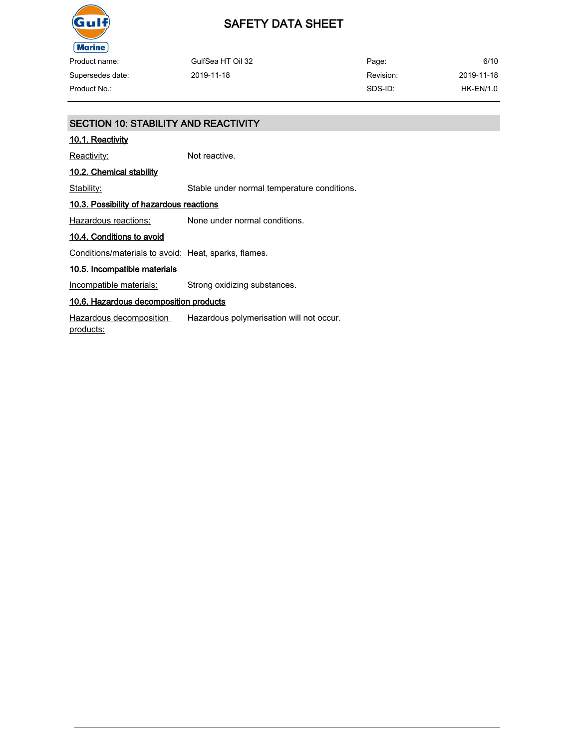

| Product name:    | GulfSea HT Oil 32 | Page:     | 6/10       |
|------------------|-------------------|-----------|------------|
| Supersedes date: | 2019-11-18        | Revision: | 2019-11-18 |
| Product No.:     |                   | SDS-ID:   | HK-EN/1.0  |

## SECTION 10: STABILITY AND REACTIVITY 10.1. Reactivity Reactivity: Not reactive. 10.2. Chemical stability Stability: Stable under normal temperature conditions. 10.3. Possibility of hazardous reactions Hazardous reactions: None under normal conditions. 10.4. Conditions to avoid Conditions/materials to avoid: Heat, sparks, flames. 10.5. Incompatible materials Incompatible materials: Strong oxidizing substances. 10.6. Hazardous decomposition products Hazardous decomposition products: Hazardous polymerisation will not occur.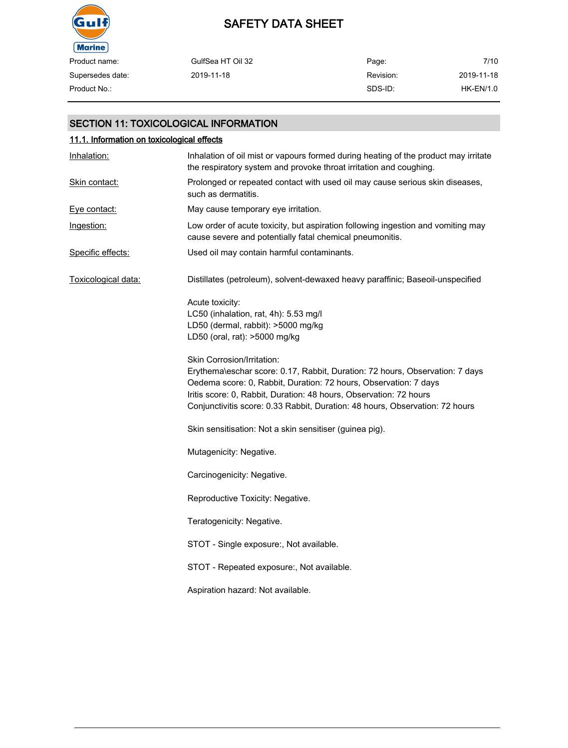

| Product name:    | GulfSea HT Oil 32 | Page:     | 7/10       |
|------------------|-------------------|-----------|------------|
| Supersedes date: | 2019-11-18        | Revision: | 2019-11-18 |
| Product No.:     |                   | SDS-ID:   | HK-EN/1.0  |

### SECTION 11: TOXICOLOGICAL INFORMATION

| 11.1. Information on toxicological effects |                                                                                                                                                                                                                                                                                                                                      |  |  |
|--------------------------------------------|--------------------------------------------------------------------------------------------------------------------------------------------------------------------------------------------------------------------------------------------------------------------------------------------------------------------------------------|--|--|
| Inhalation:                                | Inhalation of oil mist or vapours formed during heating of the product may irritate<br>the respiratory system and provoke throat irritation and coughing.                                                                                                                                                                            |  |  |
| Skin contact:                              | Prolonged or repeated contact with used oil may cause serious skin diseases,<br>such as dermatitis.                                                                                                                                                                                                                                  |  |  |
| Eye contact:                               | May cause temporary eye irritation.                                                                                                                                                                                                                                                                                                  |  |  |
| Ingestion:                                 | Low order of acute toxicity, but aspiration following ingestion and vomiting may<br>cause severe and potentially fatal chemical pneumonitis.                                                                                                                                                                                         |  |  |
| Specific effects:                          | Used oil may contain harmful contaminants.                                                                                                                                                                                                                                                                                           |  |  |
| Toxicological data:                        | Distillates (petroleum), solvent-dewaxed heavy paraffinic; Baseoil-unspecified                                                                                                                                                                                                                                                       |  |  |
|                                            | Acute toxicity:<br>LC50 (inhalation, rat, 4h): 5.53 mg/l<br>LD50 (dermal, rabbit): >5000 mg/kg<br>LD50 (oral, rat): >5000 mg/kg                                                                                                                                                                                                      |  |  |
|                                            | Skin Corrosion/Irritation:<br>Erythema\eschar score: 0.17, Rabbit, Duration: 72 hours, Observation: 7 days<br>Oedema score: 0, Rabbit, Duration: 72 hours, Observation: 7 days<br>Iritis score: 0, Rabbit, Duration: 48 hours, Observation: 72 hours<br>Conjunctivitis score: 0.33 Rabbit, Duration: 48 hours, Observation: 72 hours |  |  |
|                                            | Skin sensitisation: Not a skin sensitiser (guinea pig).                                                                                                                                                                                                                                                                              |  |  |
|                                            | Mutagenicity: Negative.                                                                                                                                                                                                                                                                                                              |  |  |
|                                            | Carcinogenicity: Negative.                                                                                                                                                                                                                                                                                                           |  |  |
|                                            | Reproductive Toxicity: Negative.                                                                                                                                                                                                                                                                                                     |  |  |
|                                            | Teratogenicity: Negative.                                                                                                                                                                                                                                                                                                            |  |  |
|                                            | STOT - Single exposure:, Not available.                                                                                                                                                                                                                                                                                              |  |  |
|                                            | STOT - Repeated exposure:, Not available.                                                                                                                                                                                                                                                                                            |  |  |
|                                            | Aspiration hazard: Not available.                                                                                                                                                                                                                                                                                                    |  |  |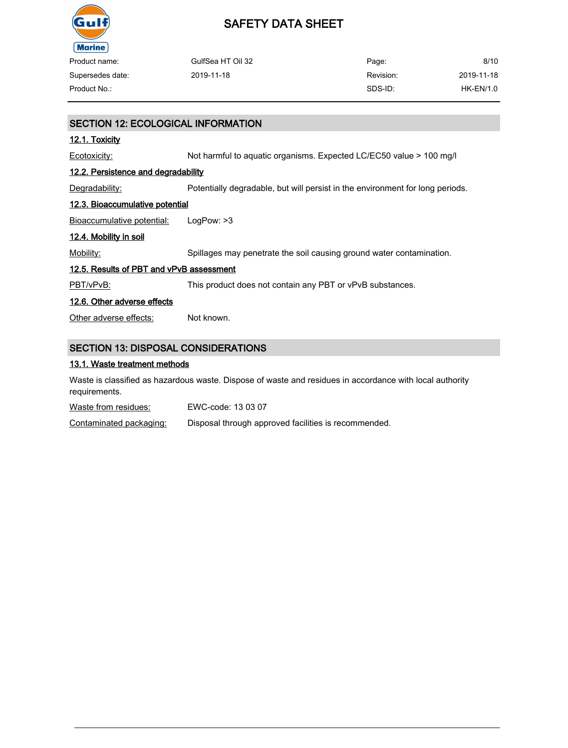

| Product name:    | GulfSea HT Oil 32 | Page:     | 8/10        |
|------------------|-------------------|-----------|-------------|
|                  |                   |           |             |
| Supersedes date: | 2019-11-18        | Revision: | 2019-11-18  |
| Product No.:     |                   | SDS-ID:   | $HK-EN/1.0$ |
|                  |                   |           |             |
|                  |                   |           |             |

| <b>SECTION 12: ECOLOGICAL INFORMATION</b>  |                                                                               |  |  |
|--------------------------------------------|-------------------------------------------------------------------------------|--|--|
| <u>12.1. Toxicity</u>                      |                                                                               |  |  |
| Ecotoxicity:                               | Not harmful to aquatic organisms. Expected LC/EC50 value > 100 mg/l           |  |  |
| <u>12.2. Persistence and degradability</u> |                                                                               |  |  |
| Degradability:                             | Potentially degradable, but will persist in the environment for long periods. |  |  |
| <u>12.3. Bioaccumulative potential</u>     |                                                                               |  |  |
| Bioaccumulative potential:                 | LogPow: >3                                                                    |  |  |
| 12.4. Mobility in soil                     |                                                                               |  |  |
| Mobility:                                  | Spillages may penetrate the soil causing ground water contamination.          |  |  |
| 12.5. Results of PBT and vPvB assessment   |                                                                               |  |  |
| PBT/vPvB:                                  | This product does not contain any PBT or vPvB substances.                     |  |  |
| 12.6. Other adverse effects                |                                                                               |  |  |
| Other adverse effects:                     | Not known.                                                                    |  |  |
|                                            |                                                                               |  |  |
| <b>SECTION 13: DISPOSAL CONSIDERATIONS</b> |                                                                               |  |  |

### 13.1. Waste treatment methods

Waste is classified as hazardous waste. Dispose of waste and residues in accordance with local authority requirements.

Waste from residues: EWC-code: 13 03 07

Contaminated packaging: Disposal through approved facilities is recommended.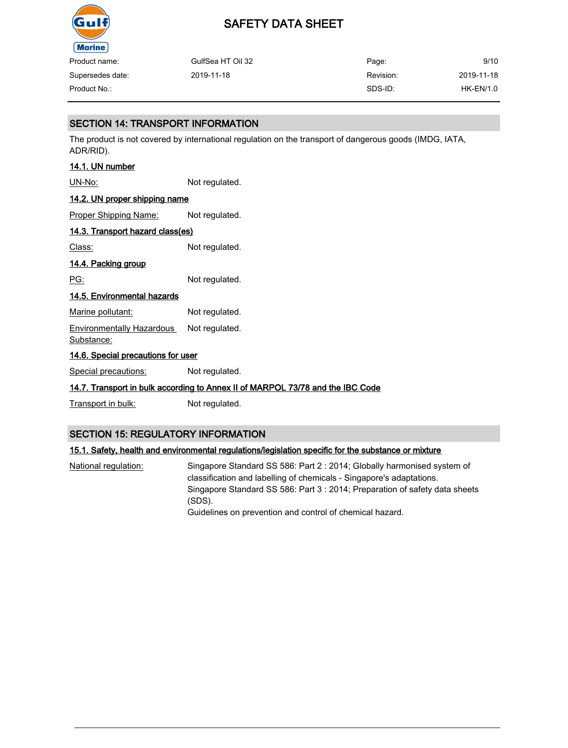

| Product name:    | GulfSea HT Oil 32 | Page:     | 9/10        |
|------------------|-------------------|-----------|-------------|
| Supersedes date: | 2019-11-18        | Revision: | 2019-11-18  |
| Product No.:     |                   | SDS-ID:   | $HK-EN/1.0$ |

## SECTION 14: TRANSPORT INFORMATION

The product is not covered by international regulation on the transport of dangerous goods (IMDG, IATA, ADR/RID).

## 14.1. UN number

UN-No: Not regulated.

## 14.2. UN proper shipping name

Proper Shipping Name: Not regulated.

## 14.3. Transport hazard class(es)

Class: Not regulated.

## 14.4. Packing group

PG: Not regulated.

## 14.5. Environmental hazards

Marine pollutant: Not regulated.

Environmentally Hazardous Substance: Not regulated.

## 14.6. Special precautions for user

Special precautions: Not regulated.

## 14.7. Transport in bulk according to Annex II of MARPOL 73/78 and the IBC Code

Transport in bulk: Not regulated.

## SECTION 15: REGULATORY INFORMATION

## 15.1. Safety, health and environmental regulations/legislation specific for the substance or mixture

National regulation: Singapore Standard SS 586: Part 2 : 2014; Globally harmonised system of classification and labelling of chemicals - Singapore's adaptations. Singapore Standard SS 586: Part 3 : 2014; Preparation of safety data sheets (SDS). Guidelines on prevention and control of chemical hazard.